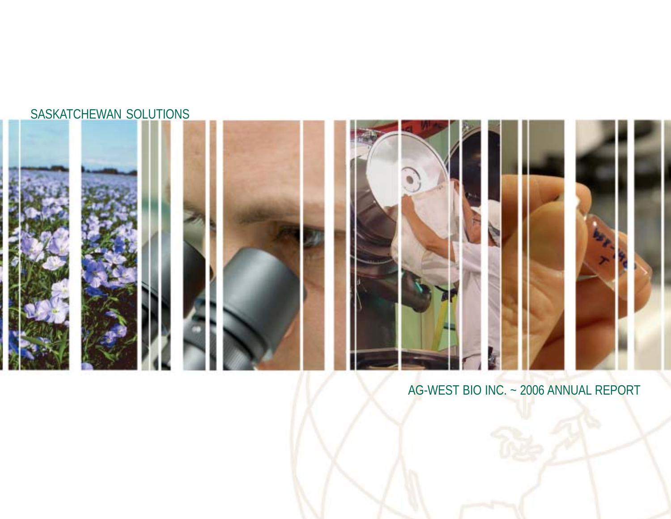### SASKATCHEWAN SOLUTIONS



### AG-WEST BIO INC. ~ 2006 ANNUAL REPORT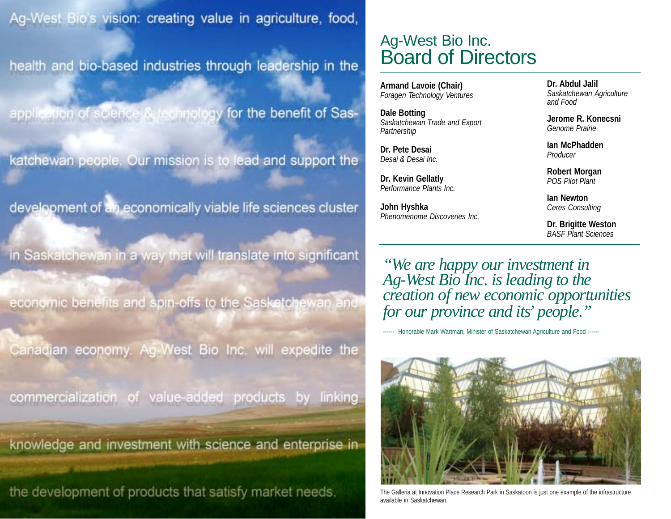Ag-West Bio's vision: creating value in agriculture, food,

health and bio-based industries through leadership in the

application of science A technology for the benefit of Sas-

katchewan people. Our mission is to lead and support the

development of an economically viable life sciences cluster

in Saskatchewan in a way that will translate into significant

economic benefits and spin-offs to the Saskatchewan and

Ag-West Bio Inc. will expedite the Canadian economy.

commercialization value-added products by linking  $ot$ 

knowledge and investment with science and enterprise in

the development of products that satisfy market needs.

### Ag-West Bio Inc. Board of Directors

**Armand Lavoie (Chair)** *Foragen Technology Ventures*

**Dale Botting** *Saskatchewan Trade and Export Partnership*

**Dr. Pete Desai** *Desai & Desai Inc.*

**Dr. Kevin Gellatly** *Performance Plants Inc.*

**John Hyshka** *Phenomenome Discoveries Inc.* **Dr. Abdul Jalil** *Saskatchewan Agriculture and Food*

**Jerome R. Konecsni** *Genome Prairie*

**Ian McPhadden** *Producer*

**Robert Morgan** *POS Pilot Plant*

**Ian Newton** *Ceres Consulting*

**Dr. Brigitte Weston** *BASF Plant Sciences*

*"We are happy our investment in Ag-West Bio Inc. is leading to the creation of new economic opportunities for our province and its' people."*

------ Honorable Mark Wartman, Minister of Saskatchewan Agriculture and Food ------



The Galleria at Innovation Place Research Park in Saskatoon is just one example of the infrastructure available in Saskatchewan.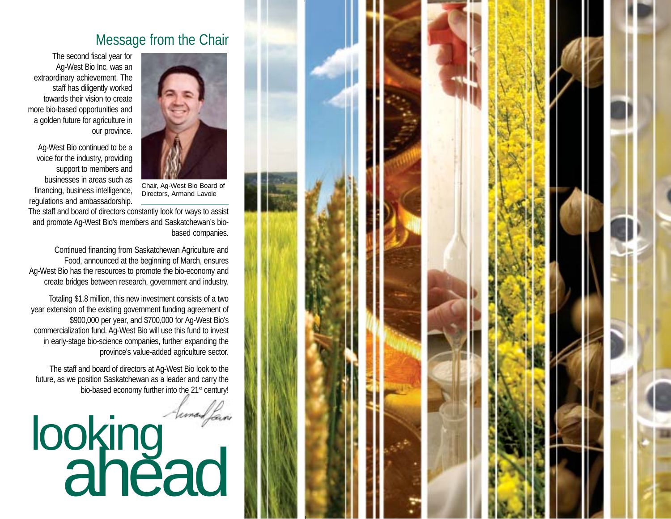

### Message from the Chair

The second fiscal year for Ag-West Bio Inc. was an extraordinary achievement. The staff has diligently worked towards their vision to create more bio-based opportunities and a golden future for agriculture in our province.

Ag-West Bio continued to be a voice for the industry, providing support to members and businesses in areas such as financing, business intelligence, regulations and ambassadorship.

Chair, Ag-West Bio Board of Directors, Armand Lavoie

The staff and board of directors constantly look for ways to assist and promote Ag-West Bio's members and Saskatchewan's biobased companies.

Continued financing from Saskatchewan Agriculture and Food, announced at the beginning of March, ensures Ag-West Bio has the resources to promote the bio-economy and create bridges between research, government and industry.

Totaling \$1.8 million, this new investment consists of a two year extension of the existing government funding agreement of \$900,000 per year, and \$700,000 for Ag-West Bio's commercialization fund. Ag-West Bio will use this fund to invest in early-stage bio-science companies, further expanding the province's value-added agriculture sector.

The staff and board of directors at Ag-West Bio look to the future, as we position Saskatchewan as a leader and carry the bio-based economy further into the 21<sup>st</sup> century!

# looking ahead

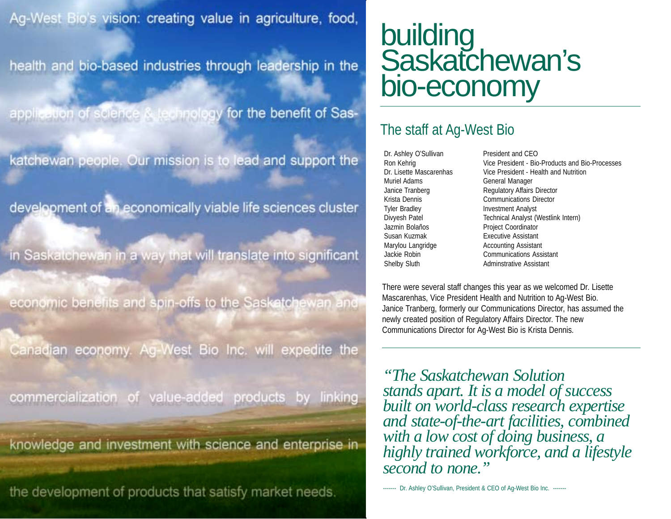Ag-West Bio's vision: creating value in agriculture, food,

health and bio-based industries through leadership in the

application of science A technology for the benefit of Sas-

katchewan people. Our mission is to lead and support the

development of an economically viable life sciences cluster

in Saskatchewan in a way that will translate into significant

economic benefits and spin-offs to the Sasketchewan and

Canadian economy. Ag-West Bio Inc. will expedite the

commercialization value-added products by linking  $OT$ 

knowledge and investment with science and enterprise in

the development of products that satisfy market needs.

## building Saskatchewan's bio-economy

### The staff at Ag-West Bio

Dr. Ashley O'Sullivan President and CEO Muriel Adams General Manager Tyler Bradley **Investment Analyst** Jazmin Bolaños Project Coordinator Susan Kuzmak Executive Assistant Marylou Langridge **Accounting Assistant** Shelby Sluth Adminstrative Assistant

Ron Kehrig **Vice President - Bio-Products and Bio-Processes** Dr. Lisette Mascarenhas Vice President - Health and Nutrition Janice Tranberg Regulatory Affairs Director Krista Dennis Communications Director Divyesh Patel Technical Analyst (Westlink Intern) Jackie Robin Communications Assistant

There were several staff changes this year as we welcomed Dr. Lisette Mascarenhas, Vice President Health and Nutrition to Ag-West Bio. Janice Tranberg, formerly our Communications Director, has assumed the newly created position of Regulatory Affairs Director. The new Communications Director for Ag-West Bio is Krista Dennis.

*"The Saskatchewan Solution stands apart. It is a model of success built on world-class research expertise and state-of-the-art facilities, combined with a low cost of doing business, a highly trained workforce, and a lifestyle second to none."*

------- Dr. Ashley O'Sullivan, President & CEO of Aq-West Bio Inc. -------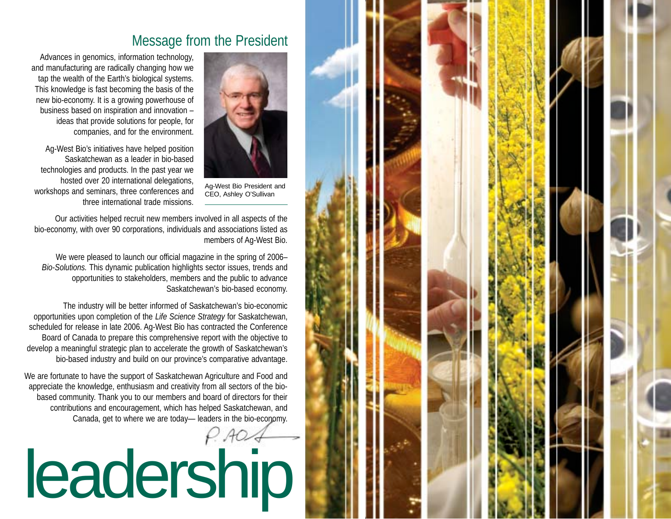

### Message from the President

Ag-West Bio President and CEO, Ashley O'Sullivan

Advances in genomics, information technology, and manufacturing are radically changing how we tap the wealth of the Earth's biological systems. This knowledge is fast becoming the basis of the new bio-economy. It is a growing powerhouse of business based on inspiration and innovation – ideas that provide solutions for people, for companies, and for the environment.

Ag-West Bio's initiatives have helped position Saskatchewan as a leader in bio-based technologies and products. In the past year we hosted over 20 international delegations, workshops and seminars, three conferences and three international trade missions.

Our activities helped recruit new members involved in all aspects of the bio-economy, with over 90 corporations, individuals and associations listed as members of Ag-West Bio.

We were pleased to launch our official magazine in the spring of 2006– *Bio-Solutions.* This dynamic publication highlights sector issues, trends and opportunities to stakeholders, members and the public to advance Saskatchewan's bio-based economy.

The industry will be better informed of Saskatchewan's bio-economic opportunities upon completion of the *Life Science Strategy* for Saskatchewan, scheduled for release in late 2006. Ag-West Bio has contracted the Conference Board of Canada to prepare this comprehensive report with the objective to develop a meaningful strategic plan to accelerate the growth of Saskatchewan's bio-based industry and build on our province's comparative advantage.

We are fortunate to have the support of Saskatchewan Agriculture and Food and appreciate the knowledge, enthusiasm and creativity from all sectors of the biobased community. Thank you to our members and board of directors for their contributions and encouragement, which has helped Saskatchewan, and Canada, get to where we are today— leaders in the bio-economy. leadership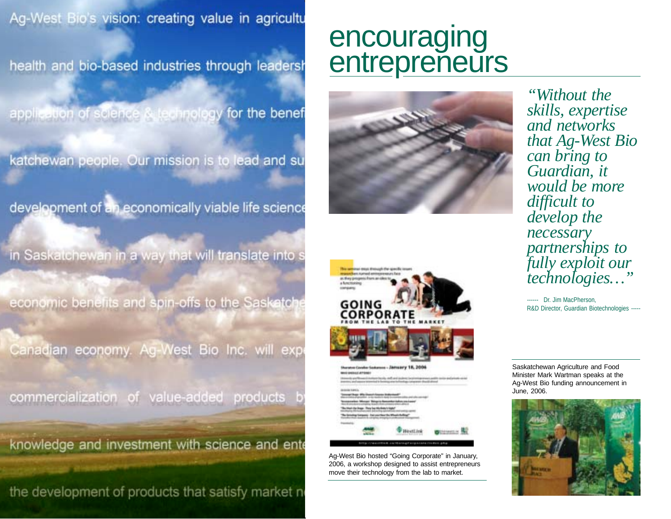Ag-West Bio's vision: creating value in agricultu

health and bio-based industries through leadersh

application of science & technology for the benef

katchewan people. Our mission is to lead and su

development of an economically viable life science

in Saskatchewan in a way that will translate into s

economic benefits and spin-offs to the Saskatol

Canadian economy. Ag-West Bio Inc. will exp

commercialization of value-added products

knowledge and investment with science and ente

the development of products that satisfy market no

## encouraging entrepreneurs





Ag-West Bio hosted "Going Corporate" in January, 2006, a workshop designed to assist entrepreneurs move their technology from the lab to market.

*"Without the skills, expertise and networks that Ag-West Bio can bring to Guardian, it would be more difficult to develop the necessary partnerships to fully exploit our technologies…"*

*------* Dr. Jim MacPherson, R&D Director, Guardian Biotechnologies *-----*

Saskatchewan Agriculture and Food Minister Mark Wartman speaks at the Ag-West Bio funding announcement in June, 2006.

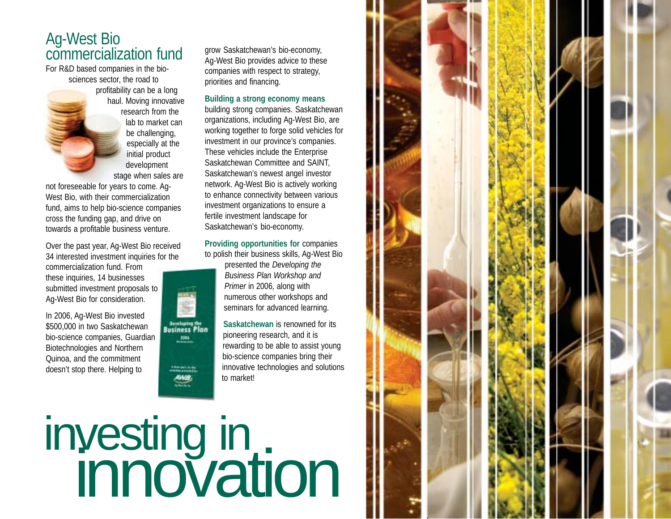### Ag-West Bio commercialization fund

For R&D based companies in the biosciences sector, the road to profitability can be a long haul. Moving innovative research from the lab to market can be challenging. especially at the initial product development stage when sales are

not foreseeable for years to come. Ag-West Bio, with their commercialization fund, aims to help bio-science companies cross the funding gap, and drive on towards a profitable business venture.

Over the past year, Ag-West Bio received 34 interested investment inquiries for the

commercialization fund. From these inquiries, 14 businesses submitted investment proposals to Ag-West Bio for consideration.

In 2006, Ag-West Bio invested \$500,000 in two Saskatchewan bio-science companies, Guardian Biotechnologies and Northern Quinoa, and the commitment doesn't stop there. Helping to

grow Saskatchewan's bio-economy, Ag-West Bio provides advice to these companies with respect to strategy, priorities and financing.

### **Building a strong economy means**

building strong companies. Saskatchewan organizations, including Ag-West Bio, are working together to forge solid vehicles for investment in our province's companies. These vehicles include the Enterprise Saskatchewan Committee and SAINT, Saskatchewan's newest angel investor network. Ag-West Bio is actively working to enhance connectivity between various investment organizations to ensure a fertile investment landscape for Saskatchewan's bio-economy.

**Providing opportunities for** companies to polish their business skills, Ag-West Bio



presented the *Developing the Business Plan Workshop and Primer* in 2006*,* along with numerous other workshops and seminars for advanced learning.

**Saskatchewan** is renowned for its pioneering research, and it is rewarding to be able to assist young bio-science companies bring their innovative technologies and solutions to market!

investing in<br>innovation

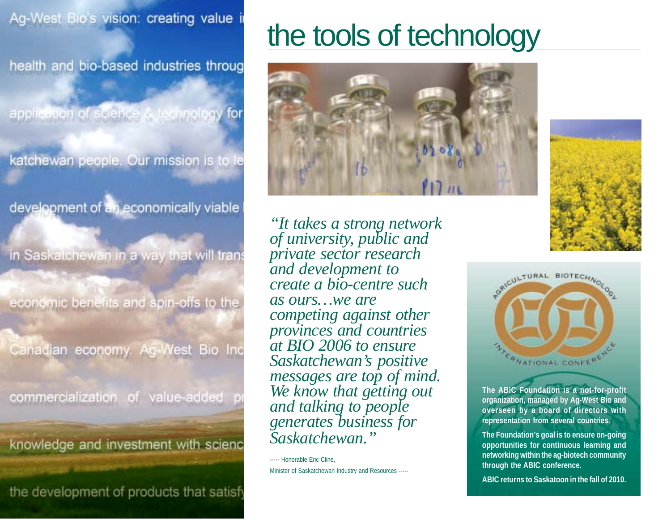health and bio-based industries throug

application of science & technology for

katchewan people. Our mission is to le

development of an economically viable

in Saskatchewan in a way that will trans

economic benefits and spin-offs to the

Canadian economy. Ag-West Bio Inc

commercialization of value-added

knowledge and investment with scienc

the development of products that satisf

# the tools of technology



*"It takes a strong network of university, public and private sector research and development to create a bio-centre such as ours…we are competing against other provinces and countries at BIO 2006 to ensure Saskatchewan's positive messages are top of mind. We know that getting out and talking to people generates business for Saskatchewan."*

----- Honorable Eric Cline. Minister of Saskatchewan Industry and Resources -----





**The ABIC Foundation is a not-for-profit organization, managed by Ag-West Bio and overseen by a board of directors with representation from several countries.**

**The Foundation's goal is to ensure on-going opportunities for continuous learning and networking within the ag-biotech community through the ABIC conference.**

**ABIC returns to Saskatoon in the fall of 2010.**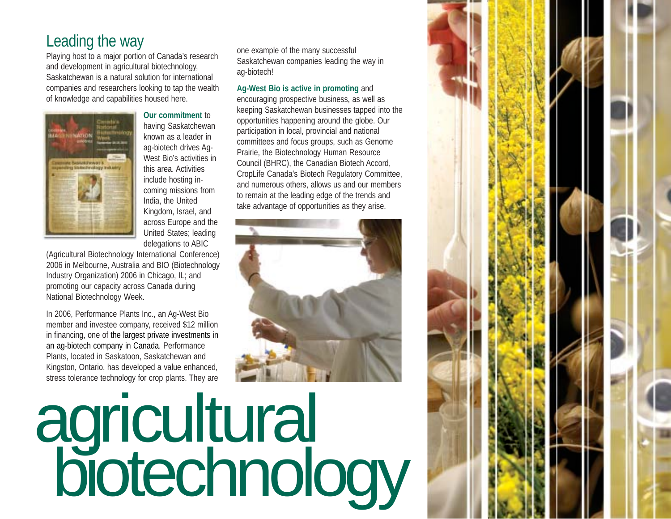## Leading the way

Playing host to a major portion of Canada's research and development in agricultural biotechnology, Saskatchewan is a natural solution for international companies and researchers looking to tap the wealth of knowledge and capabilities housed here.



**Our commitment** to having Saskatchewan known as a leader in ag-biotech drives Ag-West Bio's activities in this area. Activities include hosting incoming missions from India, the United Kingdom, Israel, and across Europe and the United States; leading delegations to ABIC

(Agricultural Biotechnology International Conference) 2006 in Melbourne, Australia and BIO (Biotechnology Industry Organization) 2006 in Chicago, IL; and promoting our capacity across Canada during National Biotechnology Week.

In 2006, Performance Plants Inc., an Ag-West Bio member and investee company, received \$12 million in financing, one of the largest private investments in an ag-biotech company in Canada. Performance Plants, located in Saskatoon, Saskatchewan and Kingston, Ontario, has developed a value enhanced, stress tolerance technology for crop plants. They are

one example of the many successful Saskatchewan companies leading the way in ag-biotech!

### **Ag-West Bio is active in promoting** and

encouraging prospective business, as well as keeping Saskatchewan businesses tapped into the opportunities happening around the globe. Our participation in local, provincial and national committees and focus groups, such as Genome Prairie, the Biotechnology Human Resource Council (BHRC), the Canadian Biotech Accord, CropLife Canada's Biotech Regulatory Committee, and numerous others, allows us and our members to remain at the leading edge of the trends and take advantage of opportunities as they arise.



# agricultural biotechnology

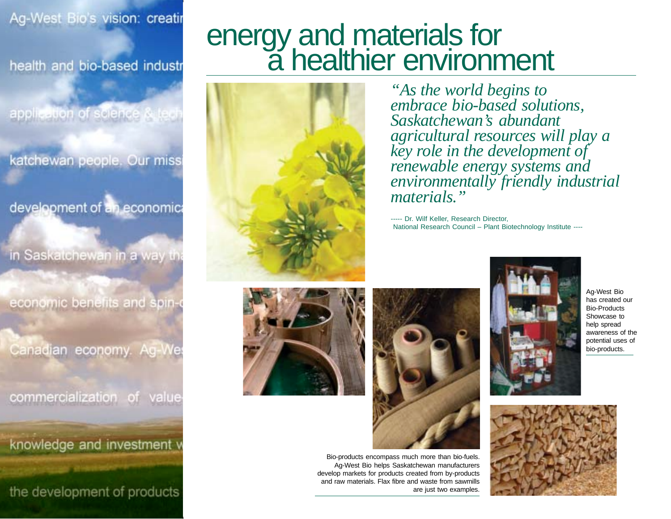### Ag-West Bio's vision: creatir

health and bio-based industr

application of science & tech

katchewan people. Our miss

development of an economic

in Saskatchewan in a way th

economic benefits and spin-

Canadian economy.

# energy and materials for<br>a healthier environment



*"As the world begins to embrace bio-based solutions, Saskatchewan's abundant agricultural resources will play a key role in the development of renewable energy systems and environmentally friendly industrial materials."*

----- Dr. Wilf Keller, Research Director, National Research Council – Plant Biotechnology Institute ----





Bio-products encompass much more than bio-fuels. Ag-West Bio helps Saskatchewan manufacturers develop markets for products created from by-products and raw materials. Flax fibre and waste from sawmills are just two examples.



has created our Bio-Products Showcase to help spread awareness of the potential uses of bio-products.



Ag-West Bio







commercialization of value

knowledge and investment v

the development of products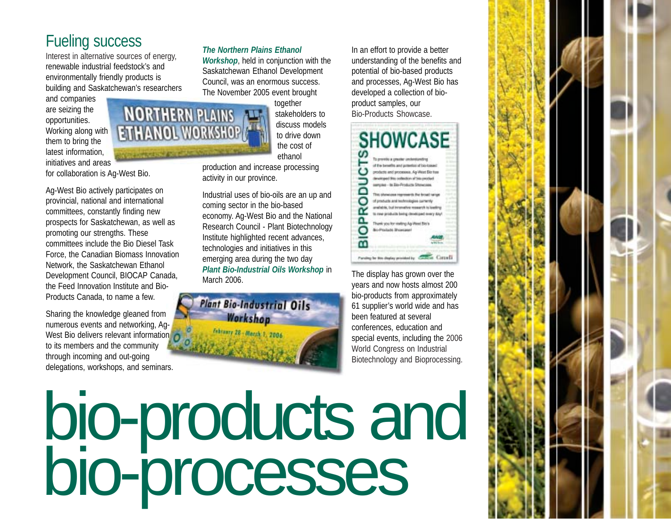## Fueling success

Interest in alternative sources of energy, renewable industrial feedstock's and environmentally friendly products is building and Saskatchewan's researchers

and companies are seizing the opportunities. Working along with them to bring the latest information, initiatives and areas

for collaboration is Ag-West Bio.

Ag-West Bio actively participates on provincial, national and international committees, constantly finding new prospects for Saskatchewan, as well as promoting our strengths. These committees include the Bio Diesel Task Force, the Canadian Biomass Innovation Network, the Saskatchewan Ethanol Development Council, BIOCAP Canada, the Feed Innovation Institute and Bio-Products Canada, to name a few.

Sharing the knowledge gleaned from numerous events and networking, Ag-West Bio delivers relevant information to its members and the community through incoming and out-going delegations, workshops, and seminars.

### *The Northern Plains Ethanol*

*Workshop*, held in conjunction with the Saskatchewan Ethanol Development Council, was an enormous success. The November 2005 event brought

> together stakeholders to discuss models to drive down the cost of ethanol

production and increase processing activity in our province.

NORTHERN PLAINS

Industrial uses of bio-oils are an up and coming sector in the bio-based economy. Ag-West Bio and the National Research Council - Plant Biotechnology Institute highlighted recent advances, technologies and initiatives in this emerging area during the two day *Plant Bio-Industrial Oils Workshop* in March 2006.



In an effort to provide a better understanding of the benefits and potential of bio-based products and processes, Ag-West Bio has developed a collection of bioproduct samples, our Bio-Products Showcase.

#### **SHOWCASE** ഗ To previde a greater ordenturelly of the benefits and presence of bio-base products and processes. As West Big tue ▭ This identices represents the broad sale O of products and technologies currently anabible, but immunive research is lowling œ to new products being developed every day! Ω. Thank you for visiting Ap Weel Bish O **Bo-Products Bhowcase**  $\overline{m}$ Funding by this display provided by Contract Contract I

The display has grown over the years and now hosts almost 200 bio-products from approximately 61 supplier's world wide and has been featured at several conferences, education and special events, including the 2006 World Congress on Industrial Biotechnology and Bioprocessing.

bio-products and bio-processes

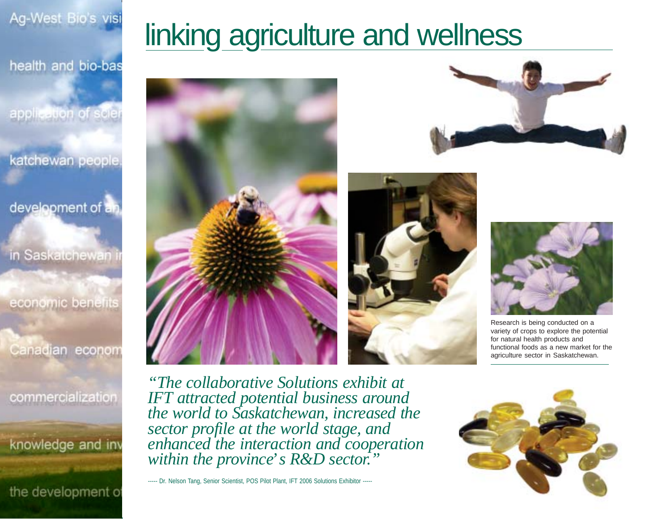Ag-West Bio's visi

health and bio-bas

application of scie

katchewan people

development of an

in Saskatchewan

economic benefits

Canadian econom

commercialization

knowledge and inv

the development o

# linking agriculture and wellness









Research is being conducted on a variety of crops to explore the potential for natural health products and functional foods as a new market for the agriculture sector in Saskatchewan.

*"The collaborative Solutions exhibit at IFT attracted potential business around the world to Saskatchewan, increased the sector profile at the world stage, and enhanced the interaction and cooperation within the province' s R&D sector."*

----- Dr. Nelson Tang, Senior Scientist, POS Pilot Plant, IFT 2006 Solutions Exhibitor -----

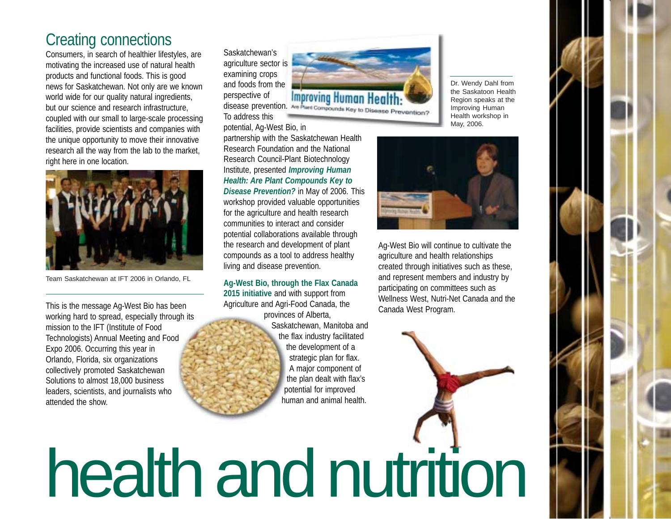### Creating connections

Consumers, in search of healthier lifestyles, are motivating the increased use of natural health products and functional foods. This is good news for Saskatchewan. Not only are we known world wide for our quality natural ingredients, but our science and research infrastructure, coupled with our small to large-scale processing facilities, provide scientists and companies with the unique opportunity to move their innovative research all the way from the lab to the market, right here in one location.



Team Saskatchewan at IFT 2006 in Orlando, FL

This is the message Ag-West Bio has been working hard to spread, especially through its mission to the IFT (Institute of Food Technologists) Annual Meeting and Food Expo 2006. Occurring this year in Orlando, Florida, six organizations collectively promoted Saskatchewan Solutions to almost 18,000 business leaders, scientists, and journalists who attended the show.

Saskatchewan's agriculture sector is examining crops and foods from the perspective of To address this potential, Ag-West Bio, in

partnership with the Saskatchewan Health Research Foundation and the National Research Council-Plant Biotechnology Institute, presented *Improving Human Health: Are Plant Compounds Key to Disease Prevention?* in May of 2006*.* This workshop provided valuable opportunities for the agriculture and health research communities to interact and consider potential collaborations available through the research and development of plant compounds as a tool to address healthy

living and disease prevention.

**Ag-West Bio, through the Flax Canada 2015 initiative** and with support from Agriculture and Agri-Food Canada, the provinces of Alberta,

> Saskatchewan, Manitoba and the flax industry facilitated the development of a strategic plan for flax. A major component of the plan dealt with flax's potential for improved human and animal health.



Dr. Wendy Dahl from the Saskatoon Health Region speaks at the Improving Human Health workshop in May, 2006.



Ag-West Bio will continue to cultivate the agriculture and health relationships created through initiatives such as these, and represent members and industry by participating on committees such as Wellness West, Nutri-Net Canada and the Canada West Program.

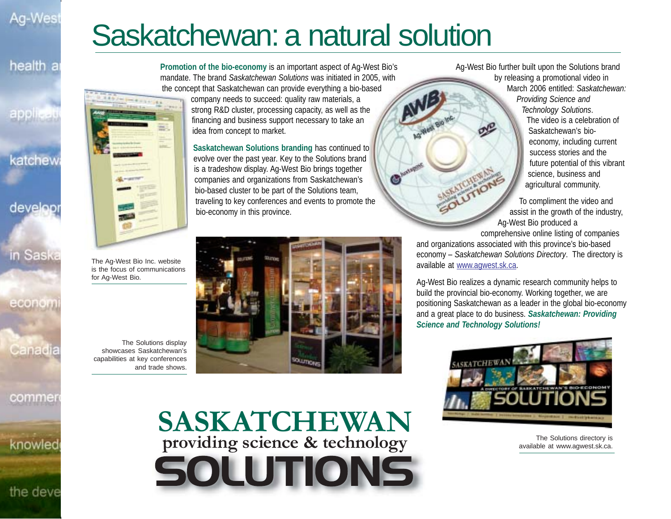### Ag-Wes

health a

арріі:

# Saskatchewan: a natural solution

**Promotion of the bio-economy** is an important aspect of Ag-West Bio's mandate. The brand *Saskatchewan Solutions* was initiated in 2005, with the concept that Saskatchewan can provide everything a bio-based

company needs to succeed: quality raw materials, a strong R&D cluster, processing capacity, as well as the financing and business support necessary to take an idea from concept to market.

**Saskatchewan Solutions branding** has continued to evolve over the past year. Key to the Solutions brand is a tradeshow display. Ag-West Bio brings together companies and organizations from Saskatchewan's bio-based cluster to be part of the Solutions team, traveling to key conferences and events to promote the bio-economy in this province.

Ag-West Bio further built upon the Solutions brand by releasing a promotional video in March 2006 entitled: *Saskatchewan: Providing Science and Technology Solutions*. The video is a celebration of Saskatchewan's bioeconomy, including current success stories and the future potential of this vibrant science, business and

> To compliment the video and assist in the growth of the industry, Ag-West Bio produced a

agricultural community.

comprehensive online listing of companies

and organizations associated with this province's bio-based economy – *Saskatchewan Solutions Directory*. The directory is available at www.agwest.sk.ca.

Ag-West Bio realizes a dynamic research community helps to build the provincial bio-economy. Working together, we are positioning Saskatchewan as a leader in the global bio-economy and a great place to do business. *Saskatchewan: Providing Science and Technology Solutions!*



The Solutions directory is available at www.agwest.sk.ca.



 $E.$ 

showcases Saskatchewan's capabilities at key conferences and trade shows.

The Solutions display

**SASKATCHEWAN providing science & technology** SOLUTIONS

**SOUTIDE** 

knowled

katchew

develop

## in Saska

econom

Canadia

commer

the deve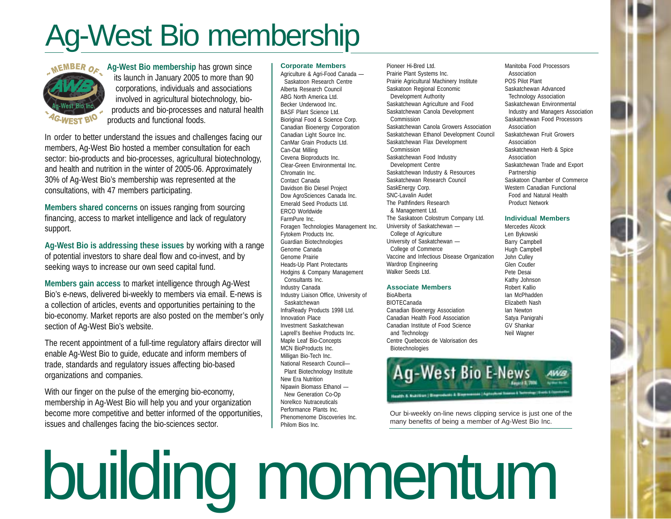# Ag-West Bio membership



**Ag-West Bio membership has grown since**  its launch in January 2005 to more than 90 corporations, individuals and associations involved in agricultural biotechnology, bioproducts and bio-processes and natural health products and functional foods.

In order to better understand the issues and challenges facing our members, Ag-West Bio hosted a member consultation for each sector: bio-products and bio-processes, agricultural biotechnology, and health and nutrition in the winter of 2005-06. Approximately 30% of Ag-West Bio's membership was represented at the consultations, with 47 members participating.

**Members shared concerns** on issues ranging from sourcing financing, access to market intelligence and lack of regulatory support.

**Ag-West Bio is addressing these issues** by working with a range of potential investors to share deal flow and co-invest, and by seeking ways to increase our own seed capital fund.

**Members gain access** to market intelligence through Ag-West Bio's e-news, delivered bi-weekly to members via email. E-news is a collection of articles, events and opportunities pertaining to the bio-economy. Market reports are also posted on the member's only section of Ag-West Bio's website.

The recent appointment of a full-time regulatory affairs director will enable Ag-West Bio to guide, educate and inform members of trade, standards and regulatory issues affecting bio-based organizations and companies.

With our finger on the pulse of the emerging bio-economy, membership in Ag-West Bio will help you and your organization become more competitive and better informed of the opportunities, issues and challenges facing the bio-sciences sector.

#### **Corporate Members**

Agriculture & Agri-Food Canada — Saskatoon Research Centre Alberta Research Council ABG North America Ltd. Becker Underwood Inc. BASF Plant Science Ltd. Bioriginal Food & Science Corp. Canadian Bioenergy Corporation Canadian Light Source Inc. CanMar Grain Products Ltd. Can-Oat Milling Cevena Bioproducts Inc. Clear-Green Environmental Inc. Chromatin Inc. Contact Canada Davidson Bio Diesel Project Dow AgroSciences Canada Inc. Emerald Seed Products Ltd. ERCO Worldwide FarmPure Inc. Foragen Technologies Management Inc. Fytokem Products Inc. Guardian Biotechnologies Genome Canada Genome Prairie Heads-Up Plant Protectants Hodgins & Company Management Consultants Inc. Industry Canada Industry Liaison Office, University of Saskatchewan InfraReady Products 1998 Ltd. Innovation Place Investment Saskatchewan Laprell's Beehive Products Inc. Maple Leaf Bio-Concepts MCN BioProducts Inc. Milligan Bio-Tech Inc. National Research Council— Plant Biotechnology Institute New Era Nutrition Nipawin Biomass Ethanol — New Generation Co-Op Norelkco Nutraceuticals Performance Plants Inc. Phenomenome Discoveries Inc. Philom Bios Inc.

Pioneer Hi-Bred Ltd. Prairie Plant Systems Inc. Prairie Agricultural Machinery Institute Saskatoon Regional Economic Development Authority Saskatchewan Agriculture and Food Saskatchewan Canola Development Commission Saskatchewan Canola Growers Association Saskatchewan Ethanol Development Council Saskatchewan Flax Development Commission Saskatchewan Food Industry Development Centre Saskatchewan Industry & Resources Saskatchewan Research Council SaskEnergy Corp. SNC-Lavalin Audet The Pathfinders Research & Management Ltd. The Saskatoon Colostrum Company Ltd. University of Saskatchewan — College of Agriculture University of Saskatchewan — College of Commerce Vaccine and Infectious Disease Organization Wardrop Engineering Walker Seeds Ltd.

#### **Associate Members**

BioAlberta BIOTECanada Canadian Bioenergy Association Canadian Health Food Association Canadian Institute of Food Science and Technology Centre Quebecois de Valorisation des Biotechnologies

Manitoba Food Processors Association POS Pilot Plant Saskatchewan Advanced Technology Association Saskatchewan Environmental Industry and Managers Association Saskatchewan Food Processors Association Saskatchewan Fruit Growers Association Saskatchewan Herb & Spice Association Saskatchewan Trade and Export Partnership Saskatoon Chamber of Commerce Western Canadian Functional Food and Natural Health Product Network

#### **Individual Members**

Mercedes Alcock Len Bykowski Barry Campbell Hugh Campbell John Culley Glen Coutler Pete Desai Kathy Johnson Robert Kallio Ian McPhadden Elizabeth Nash Ian Newton Satya Panigrahi GV Shankar Neil Wagner



Our bi-weekly on-line news clipping service is just one of the many benefits of being a member of Ag-West Bio Inc.

# building momentum